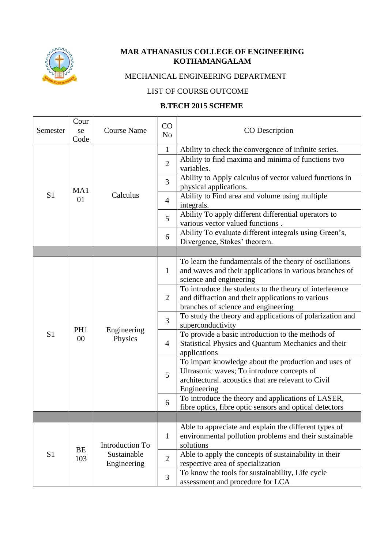

## **MAR ATHANASIUS COLLEGE OF ENGINEERING KOTHAMANGALAM**

## MECHANICAL ENGINEERING DEPARTMENT

## LIST OF COURSE OUTCOME

## **B.TECH 2015 SCHEME**

| Semester       | Cour<br>se<br>Code | <b>Course Name</b>                            | CO<br>N <sub>o</sub> | CO Description                                                                                                                                                           |
|----------------|--------------------|-----------------------------------------------|----------------------|--------------------------------------------------------------------------------------------------------------------------------------------------------------------------|
|                |                    |                                               | $\mathbf{1}$         | Ability to check the convergence of infinite series.                                                                                                                     |
|                |                    |                                               | $\overline{2}$       | Ability to find maxima and minima of functions two<br>variables.                                                                                                         |
|                | MA1                |                                               | 3                    | Ability to Apply calculus of vector valued functions in<br>physical applications.                                                                                        |
| S <sub>1</sub> | 01                 | Calculus                                      | $\overline{4}$       | Ability to Find area and volume using multiple<br>integrals.                                                                                                             |
|                |                    |                                               | 5                    | Ability To apply different differential operators to<br>various vector valued functions.                                                                                 |
|                |                    |                                               | 6                    | Ability To evaluate different integrals using Green's,<br>Divergence, Stokes' theorem.                                                                                   |
|                |                    |                                               |                      |                                                                                                                                                                          |
|                |                    |                                               | $\mathbf{1}$         | To learn the fundamentals of the theory of oscillations<br>and waves and their applications in various branches of<br>science and engineering                            |
|                |                    |                                               | $\overline{2}$       | To introduce the students to the theory of interference<br>and diffraction and their applications to various<br>branches of science and engineering                      |
|                |                    |                                               | 3                    | To study the theory and applications of polarization and<br>superconductivity                                                                                            |
| S <sub>1</sub> | PH1<br>00          | Engineering<br>Physics                        | $\overline{4}$       | To provide a basic introduction to the methods of<br>Statistical Physics and Quantum Mechanics and their<br>applications                                                 |
|                |                    |                                               | 5                    | To impart knowledge about the production and uses of<br>Ultrasonic waves; To introduce concepts of<br>architectural. acoustics that are relevant to Civil<br>Engineering |
|                |                    |                                               | 6                    | To introduce the theory and applications of LASER,<br>fibre optics, fibre optic sensors and optical detectors                                                            |
|                |                    |                                               |                      |                                                                                                                                                                          |
|                | BE                 | Introduction To<br>Sustainable<br>Engineering | $\mathbf{1}$         | Able to appreciate and explain the different types of<br>environmental pollution problems and their sustainable<br>solutions                                             |
| S <sub>1</sub> | 103                |                                               | $\overline{2}$       | Able to apply the concepts of sustainability in their<br>respective area of specialization                                                                               |
|                |                    |                                               | $\overline{3}$       | To know the tools for sustainability, Life cycle<br>assessment and procedure for LCA                                                                                     |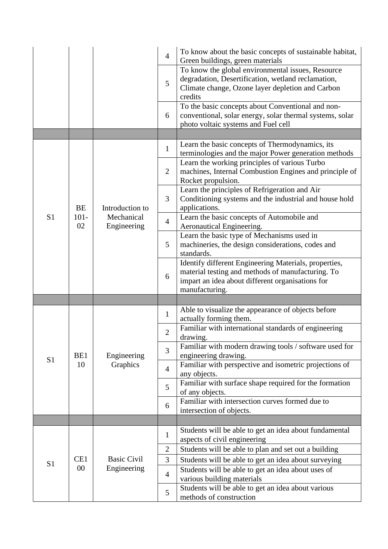|                |               |                           | $\overline{4}$ | To know about the basic concepts of sustainable habitat,<br>Green buildings, green materials                                                                                     |
|----------------|---------------|---------------------------|----------------|----------------------------------------------------------------------------------------------------------------------------------------------------------------------------------|
|                |               |                           | 5              | To know the global environmental issues, Resource<br>degradation, Desertification, wetland reclamation,<br>Climate change, Ozone layer depletion and Carbon<br>credits           |
|                |               |                           | 6              | To the basic concepts about Conventional and non-<br>conventional, solar energy, solar thermal systems, solar<br>photo voltaic systems and Fuel cell                             |
|                |               |                           |                |                                                                                                                                                                                  |
|                |               |                           | $\mathbf{1}$   | Learn the basic concepts of Thermodynamics, its<br>terminologies and the major Power generation methods                                                                          |
|                |               |                           | $\overline{2}$ | Learn the working principles of various Turbo<br>machines, Internal Combustion Engines and principle of<br>Rocket propulsion.                                                    |
|                | <b>BE</b>     | Introduction to           | 3              | Learn the principles of Refrigeration and Air<br>Conditioning systems and the industrial and house hold<br>applications.                                                         |
| S <sub>1</sub> | $101 -$<br>02 | Mechanical<br>Engineering | $\overline{4}$ | Learn the basic concepts of Automobile and<br>Aeronautical Engineering.                                                                                                          |
|                |               |                           | 5              | Learn the basic type of Mechanisms used in<br>machineries, the design considerations, codes and<br>standards.                                                                    |
|                |               |                           | 6              | Identify different Engineering Materials, properties,<br>material testing and methods of manufacturing. To<br>impart an idea about different organisations for<br>manufacturing. |
|                |               |                           |                |                                                                                                                                                                                  |
|                |               |                           |                |                                                                                                                                                                                  |
|                |               |                           | $\mathbf{1}$   | Able to visualize the appearance of objects before<br>actually forming them.                                                                                                     |
|                |               |                           | $\overline{2}$ | Familiar with international standards of engineering<br>drawing.                                                                                                                 |
|                | BE1           | Engineering               | 3              | Familiar with modern drawing tools / software used for<br>engineering drawing.                                                                                                   |
| S <sub>1</sub> | 10            | Graphics                  | $\overline{4}$ | Familiar with perspective and isometric projections of<br>any objects.                                                                                                           |
|                |               |                           | 5              | Familiar with surface shape required for the formation<br>of any objects.                                                                                                        |
|                |               |                           | 6              | Familiar with intersection curves formed due to<br>intersection of objects.                                                                                                      |
|                |               |                           |                |                                                                                                                                                                                  |
|                |               |                           | $\mathbf{1}$   | Students will be able to get an idea about fundamental<br>aspects of civil engineering                                                                                           |
|                |               |                           | $\mathbf{2}$   | Students will be able to plan and set out a building                                                                                                                             |
| S <sub>1</sub> | CE1           | <b>Basic Civil</b>        | 3              | Students will be able to get an idea about surveying                                                                                                                             |
|                | $00\,$        | Engineering               | $\overline{4}$ | Students will be able to get an idea about uses of<br>various building materials<br>Students will be able to get an idea about various                                           |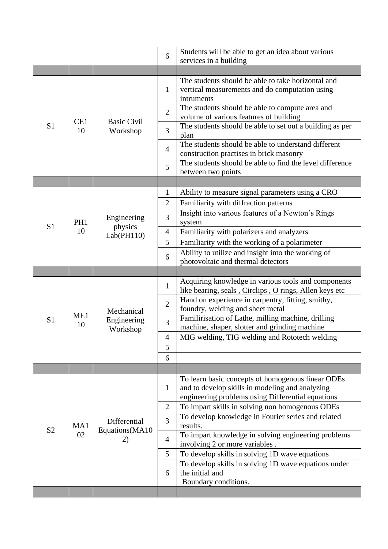|                |           |                       | 6              | Students will be able to get an idea about various<br>services in a building                                                                      |
|----------------|-----------|-----------------------|----------------|---------------------------------------------------------------------------------------------------------------------------------------------------|
|                |           |                       |                |                                                                                                                                                   |
|                |           |                       | 1              | The students should be able to take horizontal and<br>vertical measurements and do computation using<br>intruments                                |
|                | CE1       | <b>Basic Civil</b>    | $\overline{2}$ | The students should be able to compute area and<br>volume of various features of building                                                         |
| S <sub>1</sub> | 10        | Workshop              | 3              | The students should be able to set out a building as per<br>plan                                                                                  |
|                |           |                       | $\overline{4}$ | The students should be able to understand different<br>construction practises in brick masonry                                                    |
|                |           |                       | 5              | The students should be able to find the level difference<br>between two points                                                                    |
|                |           |                       |                |                                                                                                                                                   |
|                |           |                       | $\mathbf{1}$   | Ability to measure signal parameters using a CRO                                                                                                  |
|                |           |                       | $\overline{2}$ | Familiarity with diffraction patterns                                                                                                             |
| S <sub>1</sub> | PH1       | Engineering           | 3              | Insight into various features of a Newton's Rings<br>system                                                                                       |
|                | 10        | physics<br>Lab(PH110) | $\overline{4}$ | Familiarity with polarizers and analyzers                                                                                                         |
|                |           |                       | 5              | Familiarity with the working of a polarimeter                                                                                                     |
|                |           |                       | 6              | Ability to utilize and insight into the working of<br>photovoltaic and thermal detectors                                                          |
|                |           |                       |                |                                                                                                                                                   |
|                |           |                       | $\mathbf{1}$   | Acquiring knowledge in various tools and components<br>like bearing, seals, Circlips, O rings, Allen keys etc                                     |
|                |           | Mechanical            | $\overline{2}$ | Hand on experience in carpentry, fitting, smithy,<br>foundry, welding and sheet metal                                                             |
| S <sub>1</sub> | ME1<br>10 | Engineering           | 3              | Familirisation of Lathe, milling machine, drilling                                                                                                |
|                |           |                       |                | machine, shaper, slotter and grinding machine                                                                                                     |
|                |           | Workshop              | $\overline{4}$ | MIG welding, TIG welding and Rototech welding                                                                                                     |
|                |           |                       | 5              |                                                                                                                                                   |
|                |           |                       | 6              |                                                                                                                                                   |
|                |           |                       |                |                                                                                                                                                   |
|                |           |                       | $\mathbf{1}$   | To learn basic concepts of homogenous linear ODEs<br>and to develop skills in modeling and analyzing                                              |
|                |           |                       |                | engineering problems using Differential equations                                                                                                 |
|                |           |                       | $\overline{2}$ | To impart skills in solving non homogenous ODEs                                                                                                   |
|                | MA1       | Differential          | $\overline{3}$ | To develop knowledge in Fourier series and related<br>results.                                                                                    |
| S <sub>2</sub> | 02        | Equations(MA10<br>2)  | $\overline{4}$ | To impart knowledge in solving engineering problems                                                                                               |
|                |           |                       | 5              | involving 2 or more variables.                                                                                                                    |
|                |           |                       | 6              | To develop skills in solving 1D wave equations<br>To develop skills in solving 1D wave equations under<br>the initial and<br>Boundary conditions. |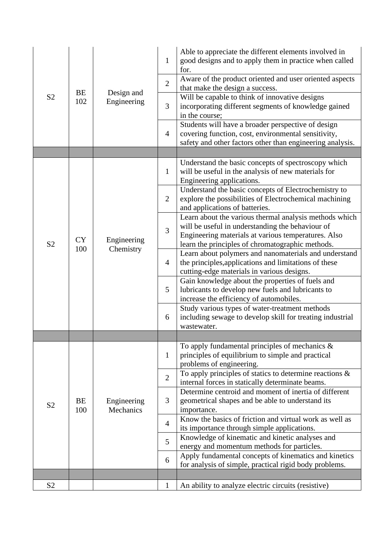|                |           |                           | 1              | Able to appreciate the different elements involved in<br>good designs and to apply them in practice when called<br>for.                                                                                               |
|----------------|-----------|---------------------------|----------------|-----------------------------------------------------------------------------------------------------------------------------------------------------------------------------------------------------------------------|
|                |           |                           | $\overline{2}$ | Aware of the product oriented and user oriented aspects<br>that make the design a success.                                                                                                                            |
| S <sub>2</sub> | BE<br>102 | Design and<br>Engineering | 3              | Will be capable to think of innovative designs<br>incorporating different segments of knowledge gained<br>in the course;                                                                                              |
|                |           |                           | $\overline{4}$ | Students will have a broader perspective of design<br>covering function, cost, environmental sensitivity,<br>safety and other factors other than engineering analysis.                                                |
|                |           |                           |                |                                                                                                                                                                                                                       |
|                |           |                           | $\mathbf{1}$   | Understand the basic concepts of spectroscopy which<br>will be useful in the analysis of new materials for<br>Engineering applications.                                                                               |
|                |           |                           | $\overline{2}$ | Understand the basic concepts of Electrochemistry to<br>explore the possibilities of Electrochemical machining<br>and applications of batteries.                                                                      |
| S <sub>2</sub> | <b>CY</b> | Engineering<br>Chemistry  | $\overline{3}$ | Learn about the various thermal analysis methods which<br>will be useful in understanding the behaviour of<br>Engineering materials at various temperatures. Also<br>learn the principles of chromatographic methods. |
|                | 100       |                           | $\overline{4}$ | Learn about polymers and nanomaterials and understand<br>the principles, applications and limitations of these<br>cutting-edge materials in various designs.                                                          |
|                |           |                           | 5              | Gain knowledge about the properties of fuels and<br>lubricants to develop new fuels and lubricants to<br>increase the efficiency of automobiles.                                                                      |
|                |           |                           | 6              | Study various types of water-treatment methods<br>including sewage to develop skill for treating industrial<br>wastewater.                                                                                            |
|                |           |                           |                |                                                                                                                                                                                                                       |
|                |           |                           | $\mathbf{1}$   | To apply fundamental principles of mechanics $\&$<br>principles of equilibrium to simple and practical<br>problems of engineering.                                                                                    |
|                |           |                           | $\overline{2}$ | To apply principles of statics to determine reactions $\&$<br>internal forces in statically determinate beams.                                                                                                        |
| S <sub>2</sub> | BE<br>100 | Engineering<br>Mechanics  | 3              | Determine centroid and moment of inertia of different<br>geometrical shapes and be able to understand its<br>importance.                                                                                              |
|                |           |                           | $\overline{4}$ | Know the basics of friction and virtual work as well as<br>its importance through simple applications.                                                                                                                |
|                |           |                           | 5              | Knowledge of kinematic and kinetic analyses and<br>energy and momentum methods for particles.                                                                                                                         |
|                |           |                           | 6              | Apply fundamental concepts of kinematics and kinetics<br>for analysis of simple, practical rigid body problems.                                                                                                       |
|                |           |                           |                |                                                                                                                                                                                                                       |
| S <sub>2</sub> |           |                           | $\mathbf{1}$   | An ability to analyze electric circuits (resistive)                                                                                                                                                                   |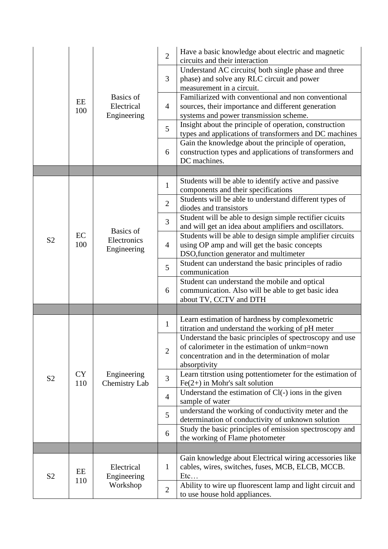|                |                  | Basics of<br>Electrical<br>Engineering | $\overline{2}$ | Have a basic knowledge about electric and magnetic<br>circuits and their interaction                                                                                        |
|----------------|------------------|----------------------------------------|----------------|-----------------------------------------------------------------------------------------------------------------------------------------------------------------------------|
|                |                  |                                        | 3              | Understand AC circuits (both single phase and three<br>phase) and solve any RLC circuit and power<br>measurement in a circuit.                                              |
|                | EE<br>100        |                                        | $\overline{4}$ | Familiarized with conventional and non conventional<br>sources, their importance and different generation<br>systems and power transmission scheme.                         |
|                |                  |                                        | 5              | Insight about the principle of operation, construction<br>types and applications of transformers and DC machines                                                            |
|                |                  |                                        | 6              | Gain the knowledge about the principle of operation,<br>construction types and applications of transformers and<br>DC machines.                                             |
|                |                  |                                        |                |                                                                                                                                                                             |
|                |                  |                                        | $\mathbf{1}$   | Students will be able to identify active and passive<br>components and their specifications                                                                                 |
|                |                  |                                        | $\overline{2}$ | Students will be able to understand different types of<br>diodes and transistors                                                                                            |
|                |                  | Basics of                              | 3              | Student will be able to design simple rectifier cicuits<br>and will get an idea about amplifiers and oscillators.                                                           |
| S <sub>2</sub> | EC<br>100        | Electronics<br>Engineering             | $\overline{4}$ | Students will be able to design simple amplifier circuits<br>using OP amp and will get the basic concepts<br>DSO, function generator and multimeter                         |
|                |                  |                                        | 5              | Student can understand the basic principles of radio<br>communication                                                                                                       |
|                |                  |                                        | 6              | Student can understand the mobile and optical<br>communication. Also will be able to get basic idea<br>about TV, CCTV and DTH                                               |
|                |                  |                                        |                |                                                                                                                                                                             |
|                |                  |                                        | $\mathbf{1}$   | Learn estimation of hardness by complexometric<br>titration and understand the working of pH meter                                                                          |
|                |                  |                                        | $\overline{2}$ | Understand the basic principles of spectroscopy and use<br>of calorimeter in the estimation of unkm=nown<br>concentration and in the determination of molar<br>absorptivity |
| S <sub>2</sub> | <b>CY</b><br>110 | Engineering<br>Chemistry Lab           | 3              | Learn titrstion using pottentiometer for the estimation of<br>$Fe(2+)$ in Mohr's salt solution                                                                              |
|                |                  |                                        | $\overline{4}$ | Understand the estimation of Cl(-) ions in the given<br>sample of water                                                                                                     |
|                |                  |                                        | 5              | understand the working of conductivity meter and the<br>determination of conductivity of unknown solution                                                                   |
|                |                  |                                        | 6              | Study the basic principles of emission spectroscopy and<br>the working of Flame photometer                                                                                  |
|                |                  |                                        |                |                                                                                                                                                                             |
| S <sub>2</sub> | EE               | Electrical<br>Engineering              | $\mathbf{1}$   | Gain knowledge about Electrical wiring accessories like<br>cables, wires, switches, fuses, MCB, ELCB, MCCB.<br>$Et$ c                                                       |
|                | 110              | Workshop                               | $\overline{2}$ | Ability to wire up fluorescent lamp and light circuit and<br>to use house hold appliances.                                                                                  |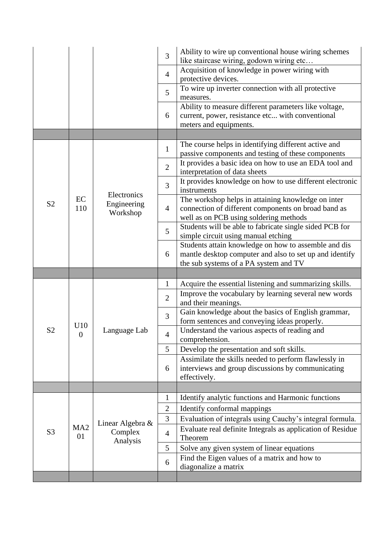|                |                       |                             | 3              | Ability to wire up conventional house wiring schemes<br>like staircase wiring, godown wiring etc                                                         |
|----------------|-----------------------|-----------------------------|----------------|----------------------------------------------------------------------------------------------------------------------------------------------------------|
|                |                       |                             | $\overline{4}$ | Acquisition of knowledge in power wiring with<br>protective devices.                                                                                     |
|                |                       |                             | 5              | To wire up inverter connection with all protective<br>measures.                                                                                          |
|                |                       |                             | 6              | Ability to measure different parameters like voltage,<br>current, power, resistance etc with conventional                                                |
|                |                       |                             |                | meters and equipments.                                                                                                                                   |
|                |                       |                             |                | The course helps in identifying different active and                                                                                                     |
|                |                       |                             | $\mathbf{1}$   | passive components and testing of these components                                                                                                       |
|                |                       |                             | $\overline{2}$ | It provides a basic idea on how to use an EDA tool and<br>interpretation of data sheets                                                                  |
|                |                       | Electronics                 | $\overline{3}$ | It provides knowledge on how to use different electronic<br>instruments                                                                                  |
| S <sub>2</sub> | EC<br>110             | Engineering<br>Workshop     | $\overline{4}$ | The workshop helps in attaining knowledge on inter<br>connection of different components on broad band as<br>well as on PCB using soldering methods      |
|                |                       |                             | 5              | Students will be able to fabricate single sided PCB for<br>simple circuit using manual etching                                                           |
|                |                       |                             | 6              | Students attain knowledge on how to assemble and dis<br>mantle desktop computer and also to set up and identify<br>the sub systems of a PA system and TV |
|                |                       |                             |                |                                                                                                                                                          |
|                |                       |                             |                |                                                                                                                                                          |
|                |                       |                             | $\mathbf{1}$   | Acquire the essential listening and summarizing skills.                                                                                                  |
|                |                       |                             | $\overline{2}$ | Improve the vocabulary by learning several new words<br>and their meanings.                                                                              |
|                |                       |                             | 3              | Gain knowledge about the basics of English grammar,<br>form sentences and conveying ideas properly.                                                      |
| S <sub>2</sub> | U10<br>$\overline{0}$ | Language Lab                | $\overline{4}$ | Understand the various aspects of reading and                                                                                                            |
|                |                       |                             | 5              | comprehension.<br>Develop the presentation and soft skills.                                                                                              |
|                |                       |                             | 6              | Assimilate the skills needed to perform flawlessly in<br>interviews and group discussions by communicating<br>effectively.                               |
|                |                       |                             |                |                                                                                                                                                          |
|                |                       |                             | $\mathbf{1}$   | Identify analytic functions and Harmonic functions                                                                                                       |
|                |                       |                             | $\mathfrak{2}$ | Identify conformal mappings                                                                                                                              |
|                |                       |                             | 3              | Evaluation of integrals using Cauchy's integral formula.                                                                                                 |
| S <sub>3</sub> | MA <sub>2</sub><br>01 | Linear Algebra &<br>Complex | $\overline{4}$ | Evaluate real definite Integrals as application of Residue<br>Theorem                                                                                    |
|                |                       | Analysis                    | 5              | Solve any given system of linear equations                                                                                                               |
|                |                       |                             | 6              | Find the Eigen values of a matrix and how to<br>diagonalize a matrix                                                                                     |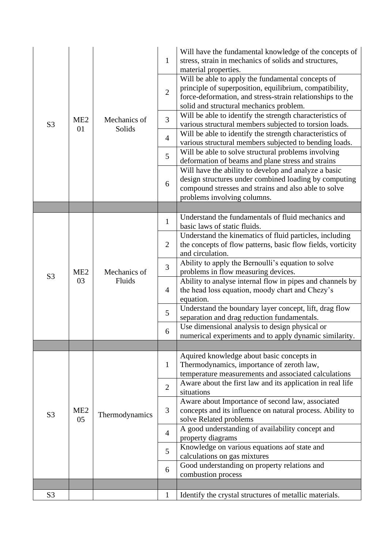| S <sub>3</sub> | ME <sub>2</sub><br>01 | Mechanics of<br>Solids | $\mathbf{1}$<br>$\overline{2}$<br>3<br>$\overline{4}$<br>5 | Will have the fundamental knowledge of the concepts of<br>stress, strain in mechanics of solids and structures,<br>material properties.<br>Will be able to apply the fundamental concepts of<br>principle of superposition, equilibrium, compatibility,<br>force-deformation, and stress-strain relationships to the<br>solid and structural mechanics problem.<br>Will be able to identify the strength characteristics of<br>various structural members subjected to torsion loads.<br>Will be able to identify the strength characteristics of<br>various structural members subjected to bending loads.<br>Will be able to solve structural problems involving<br>deformation of beams and plane stress and strains<br>Will have the ability to develop and analyze a basic<br>design structures under combined loading by computing |
|----------------|-----------------------|------------------------|------------------------------------------------------------|------------------------------------------------------------------------------------------------------------------------------------------------------------------------------------------------------------------------------------------------------------------------------------------------------------------------------------------------------------------------------------------------------------------------------------------------------------------------------------------------------------------------------------------------------------------------------------------------------------------------------------------------------------------------------------------------------------------------------------------------------------------------------------------------------------------------------------------|
|                |                       |                        | 6                                                          | compound stresses and strains and also able to solve<br>problems involving columns.                                                                                                                                                                                                                                                                                                                                                                                                                                                                                                                                                                                                                                                                                                                                                      |
|                |                       |                        |                                                            |                                                                                                                                                                                                                                                                                                                                                                                                                                                                                                                                                                                                                                                                                                                                                                                                                                          |
|                |                       |                        | $\mathbf{1}$                                               | Understand the fundamentals of fluid mechanics and<br>basic laws of static fluids.                                                                                                                                                                                                                                                                                                                                                                                                                                                                                                                                                                                                                                                                                                                                                       |
|                |                       | Mechanics of<br>Fluids | $\overline{2}$                                             | Understand the kinematics of fluid particles, including<br>the concepts of flow patterns, basic flow fields, vorticity<br>and circulation.                                                                                                                                                                                                                                                                                                                                                                                                                                                                                                                                                                                                                                                                                               |
| S <sub>3</sub> | ME <sub>2</sub>       |                        | 3                                                          | Ability to apply the Bernoulli's equation to solve<br>problems in flow measuring devices.                                                                                                                                                                                                                                                                                                                                                                                                                                                                                                                                                                                                                                                                                                                                                |
|                | 03                    |                        | $\overline{4}$                                             | Ability to analyse internal flow in pipes and channels by<br>the head loss equation, moody chart and Chezy's<br>equation.                                                                                                                                                                                                                                                                                                                                                                                                                                                                                                                                                                                                                                                                                                                |
|                |                       |                        | 5                                                          | Understand the boundary layer concept, lift, drag flow<br>separation and drag reduction fundamentals.                                                                                                                                                                                                                                                                                                                                                                                                                                                                                                                                                                                                                                                                                                                                    |
|                |                       |                        | 6                                                          | Use dimensional analysis to design physical or<br>numerical experiments and to apply dynamic similarity.                                                                                                                                                                                                                                                                                                                                                                                                                                                                                                                                                                                                                                                                                                                                 |
|                |                       |                        |                                                            |                                                                                                                                                                                                                                                                                                                                                                                                                                                                                                                                                                                                                                                                                                                                                                                                                                          |
|                |                       |                        | $\mathbf{1}$                                               | Aquired knowledge about basic concepts in<br>Thermodynamics, importance of zeroth law,<br>temperature measurements and associated calculations                                                                                                                                                                                                                                                                                                                                                                                                                                                                                                                                                                                                                                                                                           |
|                |                       |                        | $\overline{2}$                                             | Aware about the first law and its application in real life<br>situations                                                                                                                                                                                                                                                                                                                                                                                                                                                                                                                                                                                                                                                                                                                                                                 |
| S <sub>3</sub> | ME <sub>2</sub><br>05 | Thermodynamics         | 3                                                          | Aware about Importance of second law, associated<br>concepts and its influence on natural process. Ability to<br>solve Related problems                                                                                                                                                                                                                                                                                                                                                                                                                                                                                                                                                                                                                                                                                                  |
|                |                       |                        | $\overline{4}$                                             | A good understanding of availability concept and<br>property diagrams                                                                                                                                                                                                                                                                                                                                                                                                                                                                                                                                                                                                                                                                                                                                                                    |
|                |                       |                        | 5                                                          | Knowledge on various equations aof state and<br>calculations on gas mixtures                                                                                                                                                                                                                                                                                                                                                                                                                                                                                                                                                                                                                                                                                                                                                             |
|                |                       |                        | 6                                                          | Good understanding on property relations and<br>combustion process                                                                                                                                                                                                                                                                                                                                                                                                                                                                                                                                                                                                                                                                                                                                                                       |
|                |                       |                        |                                                            |                                                                                                                                                                                                                                                                                                                                                                                                                                                                                                                                                                                                                                                                                                                                                                                                                                          |
| S <sub>3</sub> |                       |                        | $\mathbf{1}$                                               | Identify the crystal structures of metallic materials.                                                                                                                                                                                                                                                                                                                                                                                                                                                                                                                                                                                                                                                                                                                                                                                   |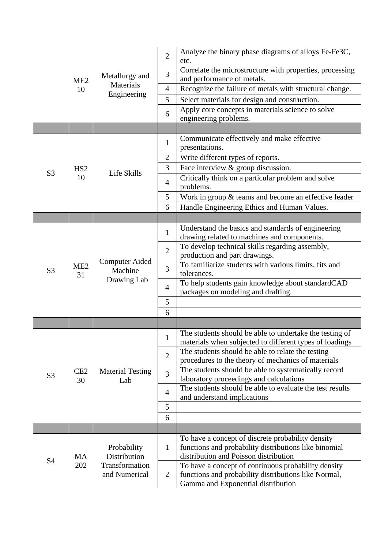|                |                       | Metallurgy and<br>ME <sub>2</sub><br>Materials<br>10 | $\overline{2}$ | Analyze the binary phase diagrams of alloys Fe-Fe3C,<br>etc.                                                                                        |
|----------------|-----------------------|------------------------------------------------------|----------------|-----------------------------------------------------------------------------------------------------------------------------------------------------|
|                |                       |                                                      | 3              | Correlate the microstructure with properties, processing<br>and performance of metals.                                                              |
|                |                       |                                                      | $\overline{4}$ | Recognize the failure of metals with structural change.                                                                                             |
|                |                       | Engineering                                          | 5              | Select materials for design and construction.                                                                                                       |
|                |                       |                                                      | 6              | Apply core concepts in materials science to solve<br>engineering problems.                                                                          |
|                |                       |                                                      |                |                                                                                                                                                     |
|                |                       |                                                      | $\mathbf{1}$   | Communicate effectively and make effective<br>presentations.                                                                                        |
|                |                       |                                                      | $\overline{2}$ | Write different types of reports.                                                                                                                   |
| S <sub>3</sub> | HS <sub>2</sub>       | Life Skills                                          | 3              | Face interview & group discussion.                                                                                                                  |
|                | 10                    |                                                      | $\overline{4}$ | Critically think on a particular problem and solve<br>problems.                                                                                     |
|                |                       |                                                      | 5              | Work in group & teams and become an effective leader                                                                                                |
|                |                       |                                                      | 6              | Handle Engineering Ethics and Human Values.                                                                                                         |
|                |                       |                                                      |                |                                                                                                                                                     |
|                |                       |                                                      | $\mathbf{1}$   | Understand the basics and standards of engineering<br>drawing related to machines and components.                                                   |
|                | ME <sub>2</sub><br>31 | <b>Computer Aided</b><br>Machine<br>Drawing Lab      | $\overline{2}$ | To develop technical skills regarding assembly,<br>production and part drawings.                                                                    |
| S <sub>3</sub> |                       |                                                      | 3              | To familiarize students with various limits, fits and<br>tolerances.                                                                                |
|                |                       |                                                      | $\overline{4}$ | To help students gain knowledge about standardCAD<br>packages on modeling and drafting.                                                             |
|                |                       |                                                      | 5              |                                                                                                                                                     |
|                |                       |                                                      | 6              |                                                                                                                                                     |
|                |                       |                                                      |                |                                                                                                                                                     |
|                |                       |                                                      | $\mathbf{1}$   | The students should be able to undertake the testing of<br>materials when subjected to different types of loadings                                  |
|                |                       |                                                      | $\overline{2}$ | The students should be able to relate the testing<br>procedures to the theory of mechanics of materials                                             |
| S <sub>3</sub> | CE2<br>30             | <b>Material Testing</b><br>Lab                       | $\overline{3}$ | The students should be able to systematically record<br>laboratory proceedings and calculations                                                     |
|                |                       |                                                      | $\overline{4}$ | The students should be able to evaluate the test results<br>and understand implications                                                             |
|                |                       |                                                      | 5              |                                                                                                                                                     |
|                |                       |                                                      | 6              |                                                                                                                                                     |
|                |                       |                                                      |                |                                                                                                                                                     |
|                | <b>MA</b>             | Probability<br>Distribution                          | $\mathbf{1}$   | To have a concept of discrete probability density<br>functions and probability distributions like binomial<br>distribution and Poisson distribution |
| S <sub>4</sub> | 202                   | Transformation<br>and Numerical                      | $\overline{2}$ | To have a concept of continuous probability density<br>functions and probability distributions like Normal,<br>Gamma and Exponential distribution   |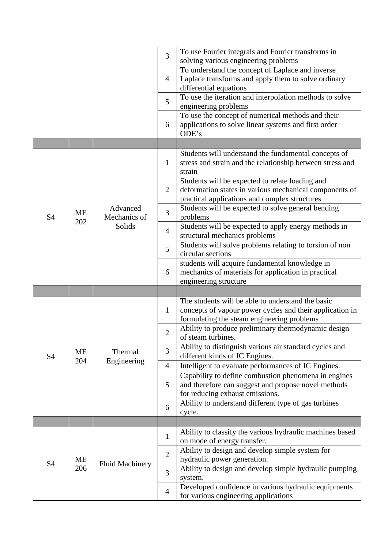|                |                  |                          | 3              | To use Fourier integrals and Fourier transforms in<br>solving various engineering problems                                                                  |
|----------------|------------------|--------------------------|----------------|-------------------------------------------------------------------------------------------------------------------------------------------------------------|
|                |                  |                          | $\overline{4}$ | To understand the concept of Laplace and inverse<br>Laplace transforms and apply them to solve ordinary<br>differential equations                           |
|                |                  |                          | 5              | To use the iteration and interpolation methods to solve<br>engineering problems                                                                             |
|                |                  |                          | 6              | To use the concept of numerical methods and their<br>applications to solve linear systems and first order<br>ODE's                                          |
|                |                  |                          |                |                                                                                                                                                             |
|                |                  |                          | $\mathbf{1}$   | Students will understand the fundamental concepts of<br>stress and strain and the relationship between stress and<br>strain                                 |
|                |                  |                          | $\overline{2}$ | Students will be expected to relate loading and<br>deformation states in various mechanical components of<br>practical applications and complex structures  |
| S <sub>4</sub> | ME               | Advanced<br>Mechanics of | 3              | Students will be expected to solve general bending<br>problems                                                                                              |
|                | 202              | Solids                   | $\overline{4}$ | Students will be expected to apply energy methods in<br>structural mechanics problems                                                                       |
|                |                  |                          | 5              | Students will solve problems relating to torsion of non<br>circular sections                                                                                |
|                |                  |                          | 6              | students will acquire fundamental knowledge in<br>mechanics of materials for application in practical<br>engineering structure                              |
|                |                  |                          |                |                                                                                                                                                             |
|                |                  | Thermal                  | $\mathbf{1}$   | The students will be able to understand the basic<br>concepts of vapour power cycles and their application in<br>formulating the steam engineering problems |
|                |                  |                          | $\mathbf{2}$   | Ability to produce preliminary thermodynamic design<br>of steam turbines.                                                                                   |
| <b>S4</b>      | <b>ME</b><br>204 |                          | 3              | Ability to distinguish various air standard cycles and<br>different kinds of IC Engines.                                                                    |
|                |                  | Engineering              | $\overline{4}$ | Intelligent to evaluate performances of IC Engines.                                                                                                         |
|                |                  |                          | 5              | Capability to define combustion phenomena in engines<br>and therefore can suggest and propose novel methods<br>for reducing exhaust emissions.              |
|                |                  |                          | 6              | Ability to understand different type of gas turbines<br>cycle.                                                                                              |
|                |                  |                          |                |                                                                                                                                                             |
|                |                  |                          | $\mathbf{1}$   | Ability to classify the various hydraulic machines based<br>on mode of energy transfer.                                                                     |
| <b>S4</b>      | ME               | <b>Fluid Machinery</b>   | $\overline{2}$ | Ability to design and develop simple system for<br>hydraulic power generation.                                                                              |
|                | 206              |                          | 3              | Ability to design and develop simple hydraulic pumping<br>system.                                                                                           |
|                |                  |                          | $\overline{4}$ | Developed confidence in various hydraulic equipments<br>for various engineering applications                                                                |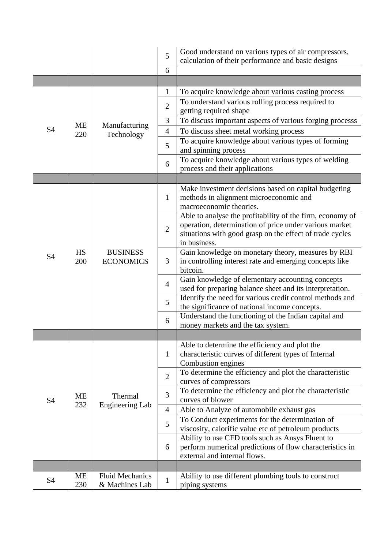|                |                  |                                          | 5              | Good understand on various types of air compressors,<br>calculation of their performance and basic designs                                                                                      |
|----------------|------------------|------------------------------------------|----------------|-------------------------------------------------------------------------------------------------------------------------------------------------------------------------------------------------|
|                |                  |                                          | 6              |                                                                                                                                                                                                 |
|                |                  |                                          |                |                                                                                                                                                                                                 |
|                |                  |                                          | $\mathbf{1}$   | To acquire knowledge about various casting process                                                                                                                                              |
|                |                  |                                          | $\overline{2}$ | To understand various rolling process required to<br>getting required shape                                                                                                                     |
|                |                  |                                          | 3              | To discuss important aspects of various forging processs                                                                                                                                        |
| <b>S4</b>      | ME               | Manufacturing                            | $\overline{4}$ | To discuss sheet metal working process                                                                                                                                                          |
|                | 220              | Technology                               | 5              | To acquire knowledge about various types of forming<br>and spinning process                                                                                                                     |
|                |                  |                                          | 6              | To acquire knowledge about various types of welding<br>process and their applications                                                                                                           |
|                |                  |                                          |                |                                                                                                                                                                                                 |
|                |                  |                                          | $\mathbf{1}$   | Make investment decisions based on capital budgeting<br>methods in alignment microeconomic and<br>macroeconomic theories.                                                                       |
|                |                  | <b>BUSINESS</b><br><b>ECONOMICS</b>      | $\overline{2}$ | Able to analyse the profitability of the firm, economy of<br>operation, determination of price under various market<br>situations with good grasp on the effect of trade cycles<br>in business. |
| <b>S4</b>      | <b>HS</b><br>200 |                                          | 3              | Gain knowledge on monetary theory, measures by RBI<br>in controlling interest rate and emerging concepts like<br>bitcoin.                                                                       |
|                |                  |                                          | $\overline{4}$ | Gain knowledge of elementary accounting concepts<br>used for preparing balance sheet and its interpretation.                                                                                    |
|                |                  |                                          | 5              | Identify the need for various credit control methods and<br>the significance of national income concepts.                                                                                       |
|                |                  |                                          | 6              | Understand the functioning of the Indian capital and<br>money markets and the tax system.                                                                                                       |
|                |                  |                                          |                |                                                                                                                                                                                                 |
|                |                  |                                          | $\mathbf{1}$   | Able to determine the efficiency and plot the<br>characteristic curves of different types of Internal<br>Combustion engines                                                                     |
|                |                  |                                          | $\overline{2}$ | To determine the efficiency and plot the characteristic<br>curves of compressors                                                                                                                |
| <b>S4</b>      | ME               | Thermal                                  | 3              | To determine the efficiency and plot the characteristic<br>curves of blower                                                                                                                     |
|                | 232              | <b>Engineering Lab</b>                   | $\overline{4}$ | Able to Analyze of automobile exhaust gas                                                                                                                                                       |
|                |                  |                                          | 5              | To Conduct experiments for the determination of<br>viscosity, calorific value etc of petroleum products                                                                                         |
|                |                  |                                          | 6              | Ability to use CFD tools such as Ansys Fluent to<br>perform numerical predictions of flow characteristics in<br>external and internal flows.                                                    |
|                |                  |                                          |                |                                                                                                                                                                                                 |
| S <sub>4</sub> | <b>ME</b><br>230 | <b>Fluid Mechanics</b><br>& Machines Lab | $\mathbf{1}$   | Ability to use different plumbing tools to construct<br>piping systems                                                                                                                          |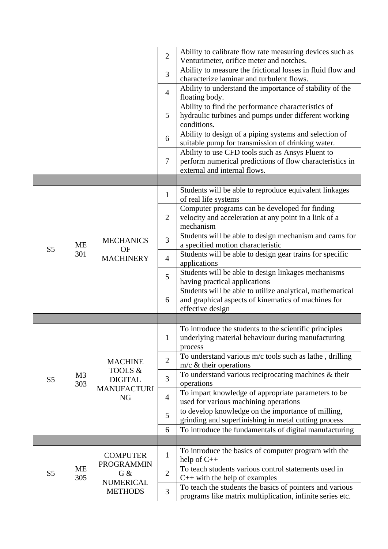|                |                        |                                      | $\overline{2}$ | Ability to calibrate flow rate measuring devices such as<br>Venturimeter, orifice meter and notches.                                         |
|----------------|------------------------|--------------------------------------|----------------|----------------------------------------------------------------------------------------------------------------------------------------------|
|                |                        |                                      | 3              | Ability to measure the frictional losses in fluid flow and<br>characterize laminar and turbulent flows.                                      |
|                |                        |                                      | $\overline{4}$ | Ability to understand the importance of stability of the<br>floating body.                                                                   |
|                |                        |                                      | 5              | Ability to find the performance characteristics of<br>hydraulic turbines and pumps under different working<br>conditions.                    |
|                |                        |                                      | 6              | Ability to design of a piping systems and selection of<br>suitable pump for transmission of drinking water.                                  |
|                |                        |                                      | $\tau$         | Ability to use CFD tools such as Ansys Fluent to<br>perform numerical predictions of flow characteristics in<br>external and internal flows. |
|                |                        |                                      |                |                                                                                                                                              |
|                |                        |                                      | $\mathbf{1}$   | Students will be able to reproduce equivalent linkages<br>of real life systems                                                               |
|                |                        |                                      | $\overline{2}$ | Computer programs can be developed for finding<br>velocity and acceleration at any point in a link of a<br>mechanism                         |
|                | ME<br><b>OF</b><br>301 | <b>MECHANICS</b><br><b>MACHINERY</b> | 3              | Students will be able to design mechanism and cams for<br>a specified motion characteristic                                                  |
| S <sub>5</sub> |                        |                                      | $\overline{4}$ | Students will be able to design gear trains for specific<br>applications                                                                     |
|                |                        |                                      | 5              | Students will be able to design linkages mechanisms<br>having practical applications                                                         |
|                |                        |                                      | 6              | Students will be able to utilize analytical, mathematical<br>and graphical aspects of kinematics of machines for<br>effective design         |
|                |                        |                                      |                |                                                                                                                                              |
|                |                        |                                      | $\mathbf{1}$   | To introduce the students to the scientific principles<br>underlying material behaviour during manufacturing<br>process                      |
|                |                        | <b>MACHINE</b>                       | $\overline{2}$ | To understand various m/c tools such as lathe, drilling<br>$m/c \&$ their operations                                                         |
| S <sub>5</sub> | M <sub>3</sub><br>303  | TOOLS &<br><b>DIGITAL</b>            | 3              | To understand various reciprocating machines & their<br>operations                                                                           |
|                |                        | <b>MANUFACTURI</b><br><b>NG</b>      | $\overline{4}$ | To impart knowledge of appropriate parameters to be<br>used for various machining operations                                                 |
|                |                        |                                      | 5              | to develop knowledge on the importance of milling,<br>grinding and superfinishing in metal cutting process                                   |
|                |                        |                                      | 6              | To introduce the fundamentals of digital manufacturing                                                                                       |
|                |                        |                                      |                |                                                                                                                                              |
|                |                        | <b>COMPUTER</b><br><b>PROGRAMMIN</b> | $\mathbf{1}$   | To introduce the basics of computer program with the<br>help of $C++$                                                                        |
| S <sub>5</sub> | <b>ME</b><br>305       | $G$ &                                | $\overline{2}$ | To teach students various control statements used in<br>$C++$ with the help of examples                                                      |
|                |                        | <b>NUMERICAL</b><br><b>METHODS</b>   | 3              | To teach the students the basics of pointers and various<br>programs like matrix multiplication, infinite series etc.                        |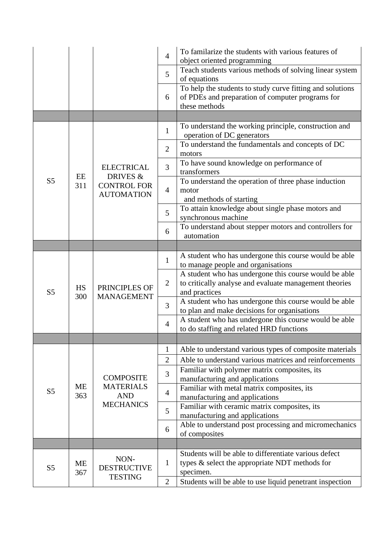|                |                  |                                              | $\overline{4}$ | To familarize the students with various features of<br>object oriented programming                                               |
|----------------|------------------|----------------------------------------------|----------------|----------------------------------------------------------------------------------------------------------------------------------|
|                |                  |                                              | 5              | Teach students various methods of solving linear system<br>of equations                                                          |
|                |                  |                                              | 6              | To help the students to study curve fitting and solutions<br>of PDEs and preparation of computer programs for<br>these methods   |
|                |                  |                                              |                |                                                                                                                                  |
|                |                  |                                              | $\mathbf{1}$   | To understand the working principle, construction and<br>operation of DC generators                                              |
|                |                  |                                              | $\overline{2}$ | To understand the fundamentals and concepts of DC<br>motors                                                                      |
|                | EE               | <b>ELECTRICAL</b><br>DRIVES &                | 3              | To have sound knowledge on performance of<br>transformers                                                                        |
| S <sub>5</sub> | 311              | <b>CONTROL FOR</b><br><b>AUTOMATION</b>      | $\overline{4}$ | To understand the operation of three phase induction<br>motor<br>and methods of starting                                         |
|                |                  |                                              | 5              | To attain knowledge about single phase motors and<br>synchronous machine                                                         |
|                |                  |                                              | 6              | To understand about stepper motors and controllers for<br>automation                                                             |
|                |                  |                                              |                |                                                                                                                                  |
|                |                  | PRINCIPLES OF<br><b>MANAGEMENT</b>           | $\mathbf{1}$   | A student who has undergone this course would be able<br>to manage people and organisations                                      |
| S <sub>5</sub> | <b>HS</b><br>300 |                                              | $\overline{2}$ | A student who has undergone this course would be able<br>to critically analyse and evaluate management theories<br>and practices |
|                |                  |                                              | 3              | A student who has undergone this course would be able<br>to plan and make decisions for organisations                            |
|                |                  |                                              | $\overline{4}$ | A student who has undergone this course would be able<br>to do staffing and related HRD functions                                |
|                |                  |                                              |                |                                                                                                                                  |
|                |                  |                                              | 1              | Able to understand various types of composite materials                                                                          |
|                |                  |                                              | $\overline{2}$ | Able to understand various matrices and reinforcements                                                                           |
|                |                  | <b>COMPOSITE</b>                             | 3              | Familiar with polymer matrix composites, its<br>manufacturing and applications                                                   |
| S <sub>5</sub> | <b>ME</b><br>363 | <b>MATERIALS</b><br><b>AND</b>               | $\overline{4}$ | Familiar with metal matrix composites, its<br>manufacturing and applications                                                     |
|                |                  | <b>MECHANICS</b>                             | 5              | Familiar with ceramic matrix composites, its<br>manufacturing and applications                                                   |
|                |                  |                                              | 6              | Able to understand post processing and micromechanics<br>of composites                                                           |
|                |                  |                                              |                |                                                                                                                                  |
| S <sub>5</sub> | <b>ME</b><br>367 | NON-<br><b>DESTRUCTIVE</b><br><b>TESTING</b> | $\mathbf{1}$   | Students will be able to differentiate various defect<br>types & select the appropriate NDT methods for<br>specimen.             |
|                |                  |                                              | $\overline{2}$ | Students will be able to use liquid penetrant inspection                                                                         |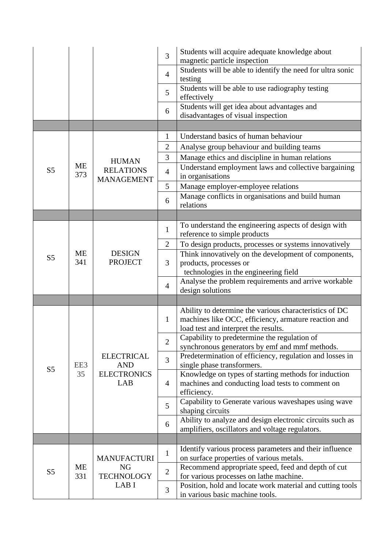|                |           |                                                              | 3              | Students will acquire adequate knowledge about<br>magnetic particle inspection                |
|----------------|-----------|--------------------------------------------------------------|----------------|-----------------------------------------------------------------------------------------------|
|                |           |                                                              | $\overline{4}$ | Students will be able to identify the need for ultra sonic<br>testing                         |
|                |           |                                                              | 5              | Students will be able to use radiography testing<br>effectively                               |
|                |           |                                                              | 6              | Students will get idea about advantages and<br>disadvantages of visual inspection             |
|                |           |                                                              |                |                                                                                               |
|                |           |                                                              | $\mathbf{1}$   | Understand basics of human behaviour                                                          |
|                |           |                                                              | $\overline{2}$ | Analyse group behaviour and building teams                                                    |
|                |           | <b>HUMAN</b>                                                 | 3              | Manage ethics and discipline in human relations                                               |
| S <sub>5</sub> | ME<br>373 | <b>RELATIONS</b><br><b>MANAGEMENT</b>                        | $\overline{4}$ | Understand employment laws and collective bargaining<br>in organisations                      |
|                |           |                                                              | 5              | Manage employer-employee relations                                                            |
|                |           |                                                              | 6              | Manage conflicts in organisations and build human<br>relations                                |
|                |           |                                                              |                |                                                                                               |
|                |           |                                                              | $\mathbf{1}$   | To understand the engineering aspects of design with                                          |
|                |           |                                                              |                | reference to simple products                                                                  |
|                |           |                                                              | $\overline{2}$ | To design products, processes or systems innovatively                                         |
| S <sub>5</sub> | ME<br>341 | <b>DESIGN</b><br><b>PROJECT</b>                              | 3              | Think innovatively on the development of components,<br>products, processes or                |
|                |           |                                                              |                | technologies in the engineering field                                                         |
|                |           |                                                              |                | Analyse the problem requirements and arrive workable                                          |
|                |           |                                                              | $\overline{4}$ | design solutions                                                                              |
|                |           |                                                              |                |                                                                                               |
|                |           |                                                              | $\mathbf{1}$   | Ability to determine the various characteristics of DC                                        |
|                |           |                                                              |                | machines like OCC, efficiency, armature reaction and                                          |
|                |           |                                                              |                | load test and interpret the results.<br>Capability to predetermine the regulation of          |
|                |           | <b>ELECTRICAL</b><br><b>AND</b><br><b>ELECTRONICS</b><br>LAB | $\overline{2}$ | synchronous generators by emf and mmf methods.                                                |
|                | EE3       |                                                              |                | Predetermination of efficiency, regulation and losses in                                      |
| S <sub>5</sub> |           |                                                              | $\overline{3}$ | single phase transformers.                                                                    |
|                | 35        |                                                              |                | Knowledge on types of starting methods for induction                                          |
|                |           |                                                              | $\overline{4}$ | machines and conducting load tests to comment on                                              |
|                |           |                                                              |                | efficiency.<br>Capability to Generate various waveshapes using wave                           |
|                |           |                                                              | 5              | shaping circuits                                                                              |
|                |           |                                                              |                | Ability to analyze and design electronic circuits such as                                     |
|                |           |                                                              | 6              | amplifiers, oscillators and voltage regulators.                                               |
|                |           |                                                              |                |                                                                                               |
|                |           |                                                              | $\mathbf{1}$   | Identify various process parameters and their influence                                       |
|                |           | <b>MANUFACTURI</b>                                           |                | on surface properties of various metals.                                                      |
| S <sub>5</sub> | ME<br>331 | NG<br><b>TECHNOLOGY</b><br>LAB I                             | $\mathbf{2}$   | Recommend appropriate speed, feed and depth of cut<br>for various processes on lathe machine. |
|                |           |                                                              |                | Position, hold and locate work material and cutting tools                                     |
|                |           |                                                              | 3              | in various basic machine tools.                                                               |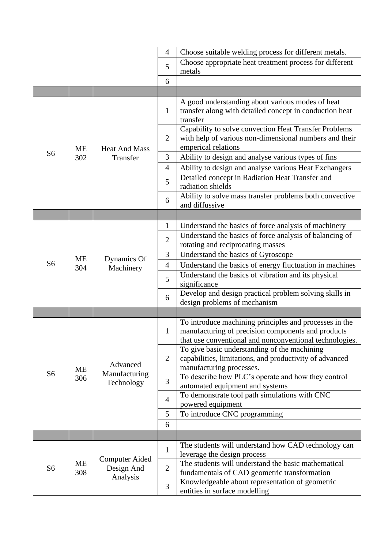|                |           |                                                 | $\overline{4}$ | Choose suitable welding process for different metals.                                                                                                                   |
|----------------|-----------|-------------------------------------------------|----------------|-------------------------------------------------------------------------------------------------------------------------------------------------------------------------|
|                |           |                                                 | 5              | Choose appropriate heat treatment process for different                                                                                                                 |
|                |           |                                                 |                | metals                                                                                                                                                                  |
|                |           |                                                 | 6              |                                                                                                                                                                         |
|                |           |                                                 |                |                                                                                                                                                                         |
|                |           | <b>Heat And Mass</b>                            | 1              | A good understanding about various modes of heat<br>transfer along with detailed concept in conduction heat<br>transfer                                                 |
|                | ME        |                                                 | $\overline{2}$ | Capability to solve convection Heat Transfer Problems<br>with help of various non-dimensional numbers and their<br>emperical relations                                  |
| S <sub>6</sub> | 302       | Transfer                                        | 3              | Ability to design and analyse various types of fins                                                                                                                     |
|                |           |                                                 | $\overline{4}$ | Ability to design and analyse various Heat Exchangers                                                                                                                   |
|                |           |                                                 | 5              | Detailed concept in Radiation Heat Transfer and<br>radiation shields                                                                                                    |
|                |           |                                                 | 6              | Ability to solve mass transfer problems both convective<br>and diffussive                                                                                               |
|                |           |                                                 |                |                                                                                                                                                                         |
|                |           | Dynamics Of<br>Machinery                        | $\mathbf{1}$   | Understand the basics of force analysis of machinery                                                                                                                    |
|                |           |                                                 | $\overline{2}$ | Understand the basics of force analysis of balancing of<br>rotating and reciprocating masses                                                                            |
|                | ME<br>304 |                                                 | 3              | Understand the basics of Gyroscope                                                                                                                                      |
| S <sub>6</sub> |           |                                                 | $\overline{4}$ | Understand the basics of energy fluctuation in machines                                                                                                                 |
|                |           |                                                 | 5              | Understand the basics of vibration and its physical<br>significance                                                                                                     |
|                |           |                                                 | 6              | Develop and design practical problem solving skills in<br>design problems of mechanism                                                                                  |
|                |           |                                                 |                |                                                                                                                                                                         |
|                |           | Advanced<br>Manufacturing<br>Technology         | $\mathbf{1}$   | To introduce machining principles and processes in the<br>manufacturing of precision components and products<br>that use conventional and nonconventional technologies. |
|                |           |                                                 | $\overline{2}$ | To give basic understanding of the machining<br>capabilities, limitations, and productivity of advanced<br>manufacturing processes.                                     |
| S <sub>6</sub> | ME<br>306 |                                                 | 3              | To describe how PLC's operate and how they control<br>automated equipment and systems                                                                                   |
|                |           |                                                 | $\overline{4}$ | To demonstrate tool path simulations with CNC<br>powered equipment                                                                                                      |
|                |           |                                                 | 5              | To introduce CNC programming                                                                                                                                            |
|                |           |                                                 | 6              |                                                                                                                                                                         |
|                |           |                                                 |                |                                                                                                                                                                         |
|                |           |                                                 | $\mathbf{1}$   | The students will understand how CAD technology can<br>leverage the design process                                                                                      |
| S <sub>6</sub> | ME<br>308 | <b>Computer Aided</b><br>Design And<br>Analysis | $\overline{2}$ | The students will understand the basic mathematical<br>fundamentals of CAD geometric transformation                                                                     |
|                |           |                                                 | 3              | Knowledgeable about representation of geometric<br>entities in surface modelling                                                                                        |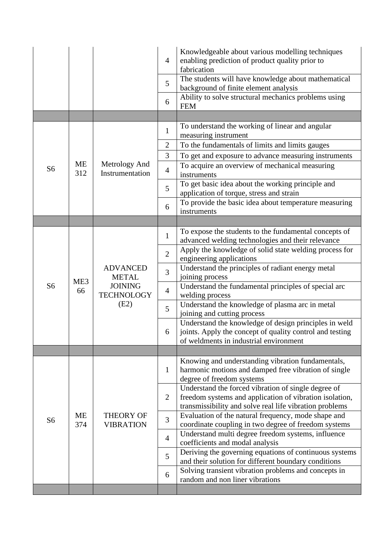|                |                       |                                                                                | $\overline{4}$ | Knowledgeable about various modelling techniques<br>enabling prediction of product quality prior to<br>fabrication                                                        |
|----------------|-----------------------|--------------------------------------------------------------------------------|----------------|---------------------------------------------------------------------------------------------------------------------------------------------------------------------------|
|                |                       |                                                                                | 5              | The students will have knowledge about mathematical<br>background of finite element analysis                                                                              |
|                |                       |                                                                                | 6              | Ability to solve structural mechanics problems using<br><b>FEM</b>                                                                                                        |
|                |                       |                                                                                |                |                                                                                                                                                                           |
|                |                       |                                                                                | $\mathbf{1}$   | To understand the working of linear and angular<br>measuring instrument                                                                                                   |
|                |                       |                                                                                | $\overline{c}$ | To the fundamentals of limits and limits gauges                                                                                                                           |
|                |                       |                                                                                | 3              | To get and exposure to advance measuring instruments                                                                                                                      |
| S <sub>6</sub> | ME<br>312             | Metrology And<br>Instrumentation                                               | $\overline{4}$ | To acquire an overview of mechanical measuring<br>instruments                                                                                                             |
|                |                       |                                                                                | 5              | To get basic idea about the working principle and<br>application of torque, stress and strain                                                                             |
|                |                       |                                                                                | 6              | To provide the basic idea about temperature measuring<br>instruments                                                                                                      |
|                |                       |                                                                                |                |                                                                                                                                                                           |
|                |                       | <b>ADVANCED</b><br><b>METAL</b><br><b>JOINING</b><br><b>TECHNOLOGY</b><br>(E2) | $\mathbf{1}$   | To expose the students to the fundamental concepts of<br>advanced welding technologies and their relevance                                                                |
|                | ME <sub>3</sub><br>66 |                                                                                | $\overline{2}$ | Apply the knowledge of solid state welding process for<br>engineering applications                                                                                        |
|                |                       |                                                                                | 3              | Understand the principles of radiant energy metal<br>joining process                                                                                                      |
| S <sub>6</sub> |                       |                                                                                | $\overline{4}$ | Understand the fundamental principles of special arc<br>welding process                                                                                                   |
|                |                       |                                                                                | 5              | Understand the knowledge of plasma arc in metal<br>joining and cutting process                                                                                            |
|                |                       |                                                                                | 6              | Understand the knowledge of design principles in weld<br>joints. Apply the concept of quality control and testing<br>of weldments in industrial environment               |
|                |                       |                                                                                |                |                                                                                                                                                                           |
|                | <b>ME</b><br>374      | <b>THEORY OF</b><br><b>VIBRATION</b>                                           | $\mathbf{1}$   | Knowing and understanding vibration fundamentals,<br>harmonic motions and damped free vibration of single<br>degree of freedom systems                                    |
|                |                       |                                                                                | $\overline{2}$ | Understand the forced vibration of single degree of<br>freedom systems and application of vibration isolation,<br>transmissibility and solve real life vibration problems |
| S <sub>6</sub> |                       |                                                                                | 3              | Evaluation of the natural frequency, mode shape and<br>coordinate coupling in two degree of freedom systems                                                               |
|                |                       |                                                                                | $\overline{4}$ | Understand multi degree freedom systems, influence<br>coefficients and modal analysis                                                                                     |
|                |                       |                                                                                | 5              | Deriving the governing equations of continuous systems<br>and their solution for different boundary conditions                                                            |
|                |                       |                                                                                | 6              | Solving transient vibration problems and concepts in<br>random and non liner vibrations                                                                                   |
|                |                       |                                                                                |                |                                                                                                                                                                           |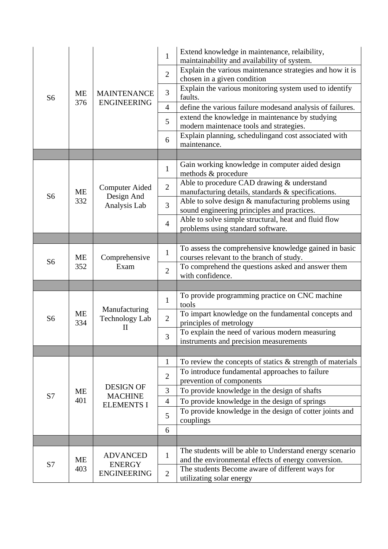| S <sub>6</sub> |           | <b>MAINTENANCE</b>                              | $\mathbf{1}$   | Extend knowledge in maintenance, relaibility,<br>maintainability and availability of system.       |
|----------------|-----------|-------------------------------------------------|----------------|----------------------------------------------------------------------------------------------------|
|                |           |                                                 | $\overline{2}$ | Explain the various maintenance strategies and how it is<br>chosen in a given condition            |
|                | <b>ME</b> |                                                 | 3              | Explain the various monitoring system used to identify<br>faults.                                  |
|                | 376       | <b>ENGINEERING</b>                              | $\overline{4}$ | define the various failure modesand analysis of failures.                                          |
|                |           |                                                 | 5              | extend the knowledge in maintenance by studying<br>modern maintenace tools and strategies.         |
|                |           |                                                 | 6              | Explain planning, schedulingand cost associated with<br>maintenance.                               |
|                |           |                                                 |                |                                                                                                    |
|                |           |                                                 | $\mathbf{1}$   | Gain working knowledge in computer aided design<br>methods & procedure                             |
|                | ME        | <b>Computer Aided</b>                           | $\overline{2}$ | Able to procedure CAD drawing & understand<br>manufacturing details, standards & specifications.   |
| S <sub>6</sub> | 332       | Design And<br>Analysis Lab                      | 3              | Able to solve design & manufacturing problems using<br>sound engineering principles and practices. |
|                |           |                                                 | $\overline{4}$ | Able to solve simple structural, heat and fluid flow<br>problems using standard software.          |
|                |           |                                                 |                |                                                                                                    |
|                | ME        | Comprehensive<br>Exam                           | $\mathbf{1}$   | To assess the comprehensive knowledge gained in basic<br>courses relevant to the branch of study.  |
| S <sub>6</sub> | 352       |                                                 | $\overline{2}$ | To comprehend the questions asked and answer them<br>with confidence.                              |
|                |           |                                                 |                |                                                                                                    |
|                |           | Manufacturing<br>Technology Lab<br>$\mathbf{I}$ | $\mathbf{1}$   | To provide programming practice on CNC machine<br>tools                                            |
| S <sub>6</sub> | ME<br>334 |                                                 | $\overline{2}$ | To impart knowledge on the fundamental concepts and<br>principles of metrology                     |
|                |           |                                                 | 3              | To explain the need of various modern measuring<br>instruments and precision measurements          |
|                |           |                                                 |                |                                                                                                    |
|                |           |                                                 | 1              | To review the concepts of statics $\&$ strength of materials                                       |
|                |           |                                                 | $\overline{2}$ | To introduce fundamental approaches to failure<br>prevention of components                         |
| S7             | ME        | <b>DESIGN OF</b><br><b>MACHINE</b>              | 3              | To provide knowledge in the design of shafts                                                       |
|                | 401       | <b>ELEMENTS I</b>                               | $\overline{4}$ | To provide knowledge in the design of springs                                                      |
|                |           |                                                 | 5              | To provide knowledge in the design of cotter joints and<br>couplings                               |
|                |           |                                                 | 6              |                                                                                                    |
|                |           |                                                 |                |                                                                                                    |
|                | ME        | <b>ADVANCED</b>                                 | $\mathbf{1}$   | The students will be able to Understand energy scenario                                            |
| S7             |           | <b>ENERGY</b>                                   |                | and the environmental effects of energy conversion.                                                |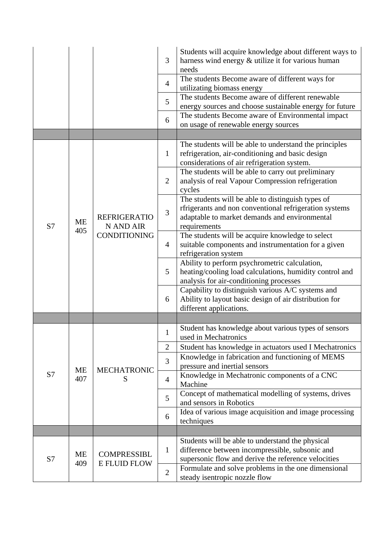|    |                  |                                                         | 3              | Students will acquire knowledge about different ways to<br>harness wind energy & utilize it for various human<br>needs                                                       |
|----|------------------|---------------------------------------------------------|----------------|------------------------------------------------------------------------------------------------------------------------------------------------------------------------------|
|    |                  |                                                         | $\overline{4}$ | The students Become aware of different ways for<br>utilizating biomass energy                                                                                                |
|    |                  |                                                         | 5              | The students Become aware of different renewable<br>energy sources and choose sustainable energy for future                                                                  |
|    |                  |                                                         | 6              | The students Become aware of Environmental impact<br>on usage of renewable energy sources                                                                                    |
|    |                  |                                                         |                |                                                                                                                                                                              |
|    |                  |                                                         | 1              | The students will be able to understand the principles<br>refrigeration, air-conditioning and basic design<br>considerations of air refrigeration system.                    |
|    |                  | <b>REFRIGERATIO</b><br>N AND AIR<br><b>CONDITIONING</b> | $\overline{2}$ | The students will be able to carry out preliminary<br>analysis of real Vapour Compression refrigeration<br>cycles                                                            |
| S7 | ME<br>405        |                                                         | 3              | The students will be able to distinguish types of<br>rfrigerants and non conventional refrigeration systems<br>adaptable to market demands and environmental<br>requirements |
|    |                  |                                                         | $\overline{4}$ | The students will be acquire knowledge to select<br>suitable components and instrumentation for a given<br>refrigeration system                                              |
|    |                  |                                                         | 5              | Ability to perform psychrometric calculation,<br>heating/cooling load calculations, humidity control and<br>analysis for air-conditioning processes                          |
|    |                  |                                                         | 6              | Capability to distinguish various A/C systems and<br>Ability to layout basic design of air distribution for<br>different applications.                                       |
|    |                  |                                                         |                |                                                                                                                                                                              |
|    |                  | <b>MECHATRONIC</b>                                      | $\mathbf{1}$   | Student has knowledge about various types of sensors<br>used in Mechatronics                                                                                                 |
|    |                  |                                                         | $\overline{c}$ | Student has knowledge in actuators used I Mechatronics                                                                                                                       |
|    | <b>ME</b>        |                                                         | 3              | Knowledge in fabrication and functioning of MEMS<br>pressure and inertial sensors                                                                                            |
| S7 | 407              | S                                                       | $\overline{4}$ | Knowledge in Mechatronic components of a CNC<br>Machine                                                                                                                      |
|    |                  |                                                         | 5              | Concept of mathematical modelling of systems, drives<br>and sensors in Robotics                                                                                              |
|    |                  |                                                         | 6              | Idea of various image acquisition and image processing<br>techniques                                                                                                         |
|    |                  |                                                         |                |                                                                                                                                                                              |
| S7 | <b>ME</b><br>409 | <b>COMPRESSIBL</b><br><b>E FLUID FLOW</b>               | $\mathbf{1}$   | Students will be able to understand the physical<br>difference between incompressible, subsonic and<br>supersonic flow and derive the reference velocities                   |
|    |                  |                                                         | $\mathbf{2}$   | Formulate and solve problems in the one dimensional<br>steady isentropic nozzle flow                                                                                         |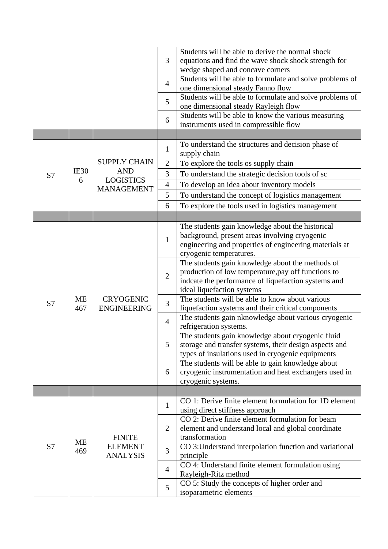|    |           |                                                    | 3<br>$\overline{4}$<br>5<br>6 | Students will be able to derive the normal shock<br>equations and find the wave shock shock strength for<br>wedge shaped and concave corners<br>Students will be able to formulate and solve problems of<br>one dimensional steady Fanno flow<br>Students will be able to formulate and solve problems of<br>one dimensional steady Rayleigh flow<br>Students will be able to know the various measuring<br>instruments used in compressible flow |
|----|-----------|----------------------------------------------------|-------------------------------|---------------------------------------------------------------------------------------------------------------------------------------------------------------------------------------------------------------------------------------------------------------------------------------------------------------------------------------------------------------------------------------------------------------------------------------------------|
|    |           |                                                    |                               | To understand the structures and decision phase of                                                                                                                                                                                                                                                                                                                                                                                                |
|    |           |                                                    | $\mathbf{1}$                  | supply chain                                                                                                                                                                                                                                                                                                                                                                                                                                      |
|    |           | <b>SUPPLY CHAIN</b>                                | $\mathbf{2}$                  | To explore the tools os supply chain                                                                                                                                                                                                                                                                                                                                                                                                              |
| S7 | IE30<br>6 | <b>AND</b><br><b>LOGISTICS</b>                     | 3                             | To understand the strategic decision tools of sc                                                                                                                                                                                                                                                                                                                                                                                                  |
|    |           | <b>MANAGEMENT</b>                                  | $\overline{4}$                | To develop an idea about inventory models                                                                                                                                                                                                                                                                                                                                                                                                         |
|    |           |                                                    | 5                             | To understand the concept of logistics management                                                                                                                                                                                                                                                                                                                                                                                                 |
|    |           |                                                    | 6                             | To explore the tools used in logistics management                                                                                                                                                                                                                                                                                                                                                                                                 |
|    |           |                                                    |                               |                                                                                                                                                                                                                                                                                                                                                                                                                                                   |
|    |           |                                                    | $\mathbf{1}$                  | The students gain knowledge about the historical<br>background, present areas involving cryogenic<br>engineering and properties of engineering materials at<br>cryogenic temperatures.                                                                                                                                                                                                                                                            |
|    |           |                                                    | $\overline{2}$                | The students gain knowledge about the methods of<br>production of low temperature, pay off functions to<br>indcate the performance of liquefaction systems and<br>ideal liquefaction systems                                                                                                                                                                                                                                                      |
| S7 | ME<br>467 | <b>CRYOGENIC</b>                                   | 3                             | The students will be able to know about various<br>liquefaction systems and their critical components                                                                                                                                                                                                                                                                                                                                             |
|    |           | <b>ENGINEERING</b>                                 | $\overline{4}$                | The students gain nknowledge about various cryogenic<br>refrigeration systems.                                                                                                                                                                                                                                                                                                                                                                    |
|    |           |                                                    | 5                             | The students gain knowledge about cryogenic fluid<br>storage and transfer systems, their design aspects and<br>types of insulations used in cryogenic equipments                                                                                                                                                                                                                                                                                  |
|    |           |                                                    | 6                             | The students will be able to gain knowledge about<br>cryogenic instrumentation and heat exchangers used in<br>cryogenic systems.                                                                                                                                                                                                                                                                                                                  |
|    |           |                                                    |                               |                                                                                                                                                                                                                                                                                                                                                                                                                                                   |
|    |           |                                                    | $\mathbf{1}$                  | CO 1: Derive finite element formulation for 1D element<br>using direct stiffness approach                                                                                                                                                                                                                                                                                                                                                         |
| S7 | ME<br>469 | <b>FINITE</b><br><b>ELEMENT</b><br><b>ANALYSIS</b> | $\overline{2}$                | CO 2: Derive finite element formulation for beam<br>element and understand local and global coordinate<br>transformation                                                                                                                                                                                                                                                                                                                          |
|    |           |                                                    | $\overline{3}$                | CO 3: Understand interpolation function and variational<br>principle                                                                                                                                                                                                                                                                                                                                                                              |
|    |           |                                                    | $\overline{4}$                | CO 4: Understand finite element formulation using<br>Rayleigh-Ritz method                                                                                                                                                                                                                                                                                                                                                                         |
|    |           |                                                    | 5                             | CO 5: Study the concepts of higher order and<br>isoparametric elements                                                                                                                                                                                                                                                                                                                                                                            |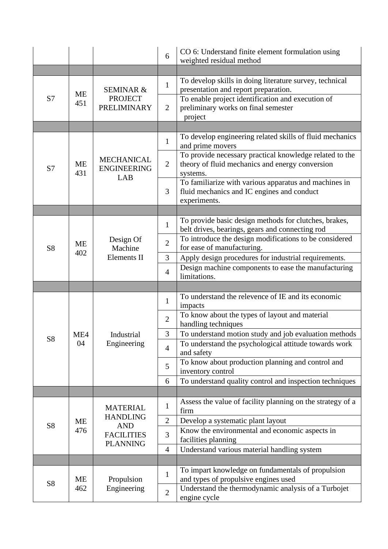|                |           |                                                                                          | 6              | CO 6: Understand finite element formulation using<br>weighted residual method                                          |
|----------------|-----------|------------------------------------------------------------------------------------------|----------------|------------------------------------------------------------------------------------------------------------------------|
|                |           |                                                                                          |                |                                                                                                                        |
|                |           | <b>SEMINAR &amp;</b><br><b>PROJECT</b><br><b>PRELIMINARY</b>                             | $\mathbf{1}$   | To develop skills in doing literature survey, technical<br>presentation and report preparation.                        |
| S7             | ME<br>451 |                                                                                          | $\overline{2}$ | To enable project identification and execution of<br>preliminary works on final semester<br>project                    |
|                |           |                                                                                          |                |                                                                                                                        |
|                |           |                                                                                          | $\mathbf{1}$   | To develop engineering related skills of fluid mechanics<br>and prime movers                                           |
| S7             | ME<br>431 | <b>MECHANICAL</b><br><b>ENGINEERING</b><br>LAB                                           | $\overline{2}$ | To provide necessary practical knowledge related to the<br>theory of fluid mechanics and energy conversion<br>systems. |
|                |           |                                                                                          | 3              | To familiarize with various apparatus and machines in<br>fluid mechanics and IC engines and conduct<br>experiments.    |
|                |           |                                                                                          |                |                                                                                                                        |
|                |           | Design Of<br>Machine<br>Elements II                                                      | $\mathbf{1}$   | To provide basic design methods for clutches, brakes,<br>belt drives, bearings, gears and connecting rod               |
| S <sub>8</sub> | ME        |                                                                                          | $\overline{2}$ | To introduce the design modifications to be considered<br>for ease of manufacturing.                                   |
|                | 402       |                                                                                          | 3              | Apply design procedures for industrial requirements.                                                                   |
|                |           |                                                                                          | $\overline{4}$ | Design machine components to ease the manufacturing<br>limitations.                                                    |
|                |           |                                                                                          |                |                                                                                                                        |
|                | ME4<br>04 |                                                                                          | $\mathbf{1}$   | To understand the relevence of IE and its economic<br>impacts                                                          |
|                |           |                                                                                          | $\mathbf{2}$   | To know about the types of layout and material<br>handling techniques                                                  |
| S8             |           | Industrial<br>Engineering                                                                | 3              | To understand motion study and job evaluation methods                                                                  |
|                |           |                                                                                          | $\overline{4}$ | To understand the psychological attitude towards work<br>and safety                                                    |
|                |           |                                                                                          | 5              | To know about production planning and control and<br>inventory control                                                 |
|                |           |                                                                                          | 6              | To understand quality control and inspection techniques                                                                |
|                |           |                                                                                          |                |                                                                                                                        |
|                |           | <b>MATERIAL</b><br><b>HANDLING</b><br><b>AND</b><br><b>FACILITIES</b><br><b>PLANNING</b> | $\mathbf{1}$   | Assess the value of facility planning on the strategy of a<br>firm                                                     |
| S <sub>8</sub> | ME        |                                                                                          | $\overline{2}$ | Develop a systematic plant layout                                                                                      |
|                | 476       |                                                                                          | 3              | Know the environmental and economic aspects in<br>facilities planning                                                  |
|                |           |                                                                                          | $\overline{4}$ | Understand various material handling system                                                                            |
|                |           |                                                                                          |                |                                                                                                                        |
| S8             | ME        | Propulsion<br>Engineering                                                                | $\mathbf{1}$   | To impart knowledge on fundamentals of propulsion<br>and types of propulsive engines used                              |
|                | 462       |                                                                                          | $\mathbf{2}$   | Understand the thermodynamic analysis of a Turbojet<br>engine cycle                                                    |